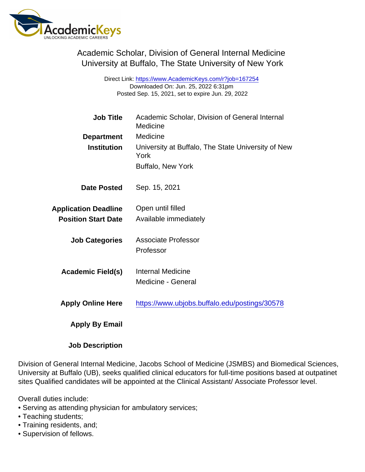Academic Scholar, Division of General Internal Medicine University at Buffalo, The State University of New York

> Direct Link: <https://www.AcademicKeys.com/r?job=167254> Downloaded On: Jun. 25, 2022 6:31pm Posted Sep. 15, 2021, set to expire Jun. 29, 2022

| <b>Job Title</b>            | Academic Scholar, Division of General Internal<br>Medicine |
|-----------------------------|------------------------------------------------------------|
| Department                  | Medicine                                                   |
| Institution                 | University at Buffalo, The State University of New<br>York |
|                             | <b>Buffalo, New York</b>                                   |
| Date Posted                 | Sep. 15, 2021                                              |
| <b>Application Deadline</b> | Open until filled                                          |
| <b>Position Start Date</b>  | Available immediately                                      |
| <b>Job Categories</b>       | Associate Professor                                        |
|                             | Professor                                                  |
| Academic Field(s)           | <b>Internal Medicine</b>                                   |
|                             | <b>Medicine - General</b>                                  |
| <b>Apply Online Here</b>    | https://www.ubjobs.buffalo.edu/postings/30578              |
| Apply By Email              |                                                            |
| <b>Job Description</b>      |                                                            |

Division of General Internal Medicine, Jacobs School of Medicine (JSMBS) and Biomedical Sciences, University at Buffalo (UB), seeks qualified clinical educators for full-time positions based at outpatinet sites Qualified candidates will be appointed at the Clinical Assistant/ Associate Professor level.

Overall duties include:

- Serving as attending physician for ambulatory services;
- Teaching students;
- Training residents, and;
- Supervision of fellows.